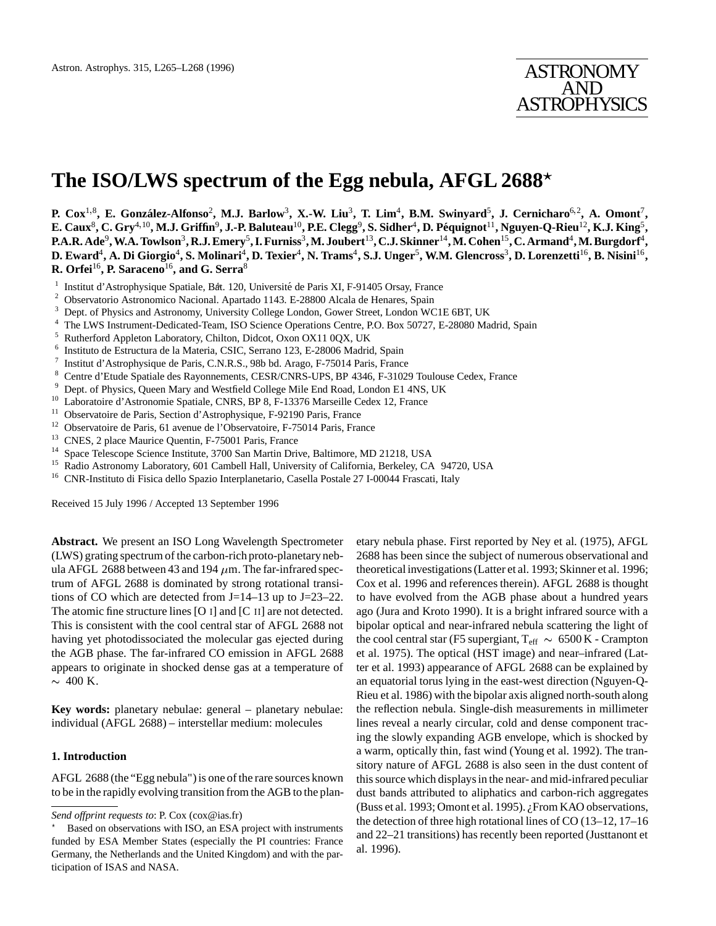# **The ISO/LWS spectrum of the Egg nebula, AFGL 2688**?

**P. Cox**<sup>1</sup>;<sup>8</sup>**, E. Gonz´alez-Alfonso**<sup>2</sup>**, M.J. Barlow**<sup>3</sup>**, X.-W. Liu**<sup>3</sup>**, T. Lim**<sup>4</sup>**, B.M. Swinyard**<sup>5</sup>**, J. Cernicharo**<sup>6</sup>;<sup>2</sup>**, A. Omont**<sup>7</sup>**, E. Caux**<sup>8</sup>**, C. Gry**<sup>4</sup>;<sup>10</sup>**, M.J. Griffin**<sup>9</sup>**, J.-P. Baluteau**<sup>10</sup>**, P.E. Clegg**<sup>9</sup>**, S. Sidher**<sup>4</sup>**, D. P´equignot**<sup>11</sup>**, Nguyen-Q-Rieu**<sup>12</sup>**, K.J. King**<sup>5</sup>**, P.A.R. Ade**<sup>9</sup>**, W.A. Towlson**<sup>3</sup>**, R.J. Emery**<sup>5</sup>**, I. Furniss**<sup>3</sup>**, M. Joubert**<sup>13</sup>**, C.J. Skinner**<sup>14</sup>**, M. Cohen**<sup>15</sup>**, C. Armand**<sup>4</sup>**, M. Burgdorf**<sup>4</sup>**, D. Eward**<sup>4</sup>**, A. Di Giorgio**<sup>4</sup>**, S. Molinari**<sup>4</sup>**, D. Texier**<sup>4</sup>**, N. Trams**<sup>4</sup>**, S.J. Unger**<sup>5</sup>**, W.M. Glencross**<sup>3</sup>**, D. Lorenzetti**<sup>16</sup>**, B. Nisini**<sup>16</sup>**, R. Orfei**<sup>16</sup>**, P. Saraceno**<sup>16</sup>**, and G. Serra**<sup>8</sup>

- <sup>1</sup> Institut d'Astrophysique Spatiale, Bat. 120, Université de Paris XI, F-91405 Orsay, France  $\frac{2}{3}$  Observatorio Astronomico Nacional, Apertado 1143, E 28800 Alcala de Hanares, Spain
- <sup>2</sup> Observatorio Astronomico Nacional. Apartado 1143. E-28800 Alcala de Henares, Spain<br><sup>3</sup> Dent of Physics and Astronomy University Collage Landan Gower Street Landan WG
- <sup>3</sup> Dept. of Physics and Astronomy, University College London, Gower Street, London WC1E 6BT, UK<br><sup>4</sup> The LWC Instrument Dedicated Trem, ISO Science Operations Captus, D.O. Ben 50737, E.38080 Me
- <sup>4</sup> The LWS Instrument-Dedicated-Team, ISO Science Operations Centre, P.O. Box 50727, E-28080 Madrid, Spain  $\frac{5}{2}$  Putherford Appleton Lehenston: Chilten Dideet Orea QV11.0QV, LW
- <sup>5</sup> Rutherford Appleton Laboratory, Chilton, Didcot, Oxon OX11 0QX, UK  $^6$  Instituto de Estructura de la Materia. CSIC, Serrano 123, E-28006 Madrid
- <sup>6</sup> Instituto de Estructura de la Materia, CSIC, Serrano 123, E-28006 Madrid, Spain
- T Institut d'Astrophysique de Paris, C.N.R.S., 98b bd. Arago, F-75014 Paris, France<br>8. Centre d'Etude Spatiale des Payonnements. CESP/CNPS JJPS, PD 4346, E 31020
- <sup>8</sup> Centre d'Etude Spatiale des Rayonnements, CESR/CNRS-UPS, BP 4346, F-31029 Toulouse Cedex, France<br><sup>9</sup> Dent. of Physics, Queen Mery and Westfield Cellege Mile End Boad, Landen E1.4NS, LIK
- <sup>9</sup> Dept. of Physics, Queen Mary and Westfield College Mile End Road, London E1 4NS, UK
- <sup>10</sup> Laboratoire d'Astronomie Spatiale, CNRS, BP 8, F-13376 Marseille Cedex 12, France<br><sup>11</sup> Observatoire de Paris, Section d'Astrophysique, E 92190 Paris, France
- Observatoire de Paris, Section d'Astrophysique, F-92190 Paris, France
- <sup>12</sup> Observatoire de Paris, 61 avenue de l'Observatoire, F-75014 Paris, France<br><sup>13</sup> CNES 2 place Maurice Quentin, F-75001 Paris, France
- <sup>13</sup> CNES, 2 place Maurice Quentin, F-75001 Paris, France<br><sup>14</sup> Space Telescope Science Institute, <sup>2700</sup> Sep Mertin Driv
- <sup>14</sup> Space Telescope Science Institute, 3700 San Martin Drive, Baltimore, MD 21218, USA
- <sup>15</sup> Radio Astronomy Laboratory, 601 Cambell Hall, University of California, Berkeley, CA 94720, USA  $^{16}$  CNR-Instituto di Fisica dello Spazio Interplanetario. Casella Postale 27 I-00044 Frascati, Italy
- <sup>16</sup> CNR-Instituto di Fisica dello Spazio Interplanetario, Casella Postale 27 I-00044 Frascati, Italy

Received 15 July 1996 / Accepted 13 September 1996

**Abstract.** We present an ISO Long Wavelength Spectrometer (LWS) grating spectrum of the carbon-rich proto-planetarynebula AFGL 2688 between 43 and 194  $\mu$ m. The far-infrared spectrum of AFGL 2688 is dominated by strong rotational transitions of CO which are detected from J=14–13 up to J=23–22. The atomic fine structure lines [O <sup>i</sup>] and [C ii] are not detected. This is consistent with the cool central star of AFGL 2688 not having yet photodissociated the molecular gas ejected during the AGB phase. The far-infrared CO emission in AFGL 2688 appears to originate in shocked dense gas at a temperature of  $\sim$  400 K.

**Key words:** planetary nebulae: general – planetary nebulae: individual (AFGL 2688) – interstellar medium: molecules

### **1. Introduction**

AFGL 2688 (the "Egg nebula") is one of the rare sources known to be in the rapidly evolving transition from the AGB to the planetary nebula phase. First reported by Ney et al. (1975), AFGL 2688 has been since the subject of numerous observational and theoretical investigations (Latter et al. 1993; Skinner et al. 1996; Cox et al. 1996 and references therein). AFGL 2688 is thought to have evolved from the AGB phase about a hundred years ago (Jura and Kroto 1990). It is a bright infrared source with a bipolar optical and near-infrared nebula scattering the light of the cool central star (F5 supergiant,  $T_{\text{eff}} \sim 6500 \text{ K}$  - Crampton et al. 1975). The optical (HST image) and near–infrared (Latter et al. 1993) appearance of AFGL 2688 can be explained by an equatorial torus lying in the east-west direction (Nguyen-Q-Rieu et al. 1986) with the bipolar axis aligned north-south along the reflection nebula. Single-dish measurements in millimeter lines reveal a nearly circular, cold and dense component tracing the slowly expanding AGB envelope, which is shocked by a warm, optically thin, fast wind (Young et al. 1992). The transitory nature of AFGL 2688 is also seen in the dust content of this source which displays in the near- and mid-infrared peculiar dust bands attributed to aliphatics and carbon-rich aggregates (Buss et al. 1993; Omont et al. 1995). ¿From KAO observations, the detection of three high rotational lines of CO (13–12, 17–16 and 22–21 transitions) has recently been reported (Justtanont et al. 1996).

*Send offprint requests to*: P. Cox (cox@ias.fr)

<sup>?</sup> Based on observations with ISO, an ESA project with instruments funded by ESA Member States (especially the PI countries: France Germany, the Netherlands and the United Kingdom) and with the participation of ISAS and NASA.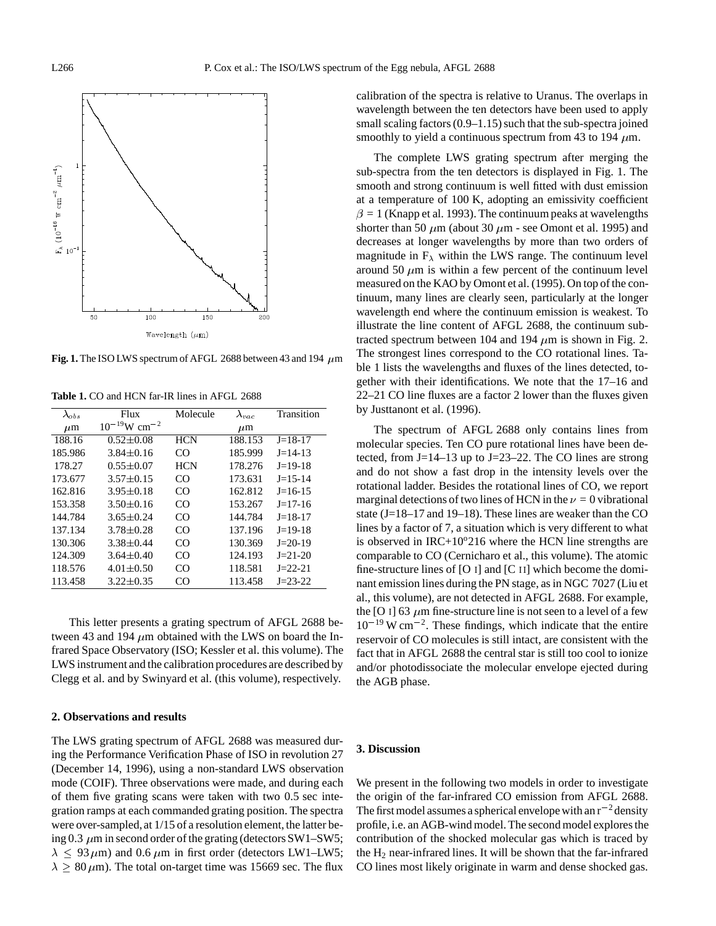

**Fig. 1.** The ISO LWS spectrum of AFGL 2688 between 43 and 194  $\,\mu$ m

| $\lambda_{obs}$ | Flux                          | Molecule   | $\lambda_{vac}$ | Transition    |
|-----------------|-------------------------------|------------|-----------------|---------------|
| $\mu$ m         | $10^{-19}$ W cm <sup>-2</sup> |            | $\mu$ m         |               |
| 188.16          | $0.52 \pm 0.08$               | <b>HCN</b> | 188.153         | $J=18-17$     |
| 185.986         | $3.84 \pm 0.16$               | CO         | 185.999         | $J=14-13$     |
| 178.27          | $0.55 \pm 0.07$               | <b>HCN</b> | 178.276         | $J=19-18$     |
| 173.677         | $3.57 \pm 0.15$               | CO         | 173.631         | $J=15-14$     |
| 162.816         | $3.95 \pm 0.18$               | CO         | 162.812         | $J=16-15$     |
| 153.358         | $3.50 \pm 0.16$               | CO         | 153.267         | $J=17-16$     |
| 144.784         | $3.65 \pm 0.24$               | CO         | 144.784         | $J=18-17$     |
| 137.134         | $3.78 \pm 0.28$               | CO         | 137.196         | $J=19-18$     |
| 130.306         | $3.38 \pm 0.44$               | CO         | 130.369         | $J=20-19$     |
| 124.309         | $3.64 \pm 0.40$               | CO         | 124.193         | $J = 21 - 20$ |
| 118.576         | $4.01 \pm 0.50$               | CO         | 118.581         | $J=22-21$     |
| 113.458         | $3.22 \pm 0.35$               | CO         | 113.458         | $J = 23 - 22$ |

**Table 1.** CO and HCN far-IR lines in AFGL 2688

This letter presents a grating spectrum of AFGL 2688 between 43 and 194  $\mu$ m obtained with the LWS on board the Infrared Space Observatory (ISO; Kessler et al. this volume). The LWS instrument and the calibration procedures are described by Clegg et al. and by Swinyard et al. (this volume), respectively.

## **2. Observations and results**

The LWS grating spectrum of AFGL 2688 was measured during the Performance Verification Phase of ISO in revolution 27 (December 14, 1996), using a non-standard LWS observation mode (COIF). Three observations were made, and during each of them five grating scans were taken with two 0.5 sec integration ramps at each commanded grating position. The spectra were over-sampled,at 1/15 of a resolution element, the latter being 0.3  $\mu$ m in second order of the grating (detectors SW1–SW5;  $\lambda \leq 93 \,\mu\text{m}$ ) and 0.6  $\mu$ m in first order (detectors LW1–LW5;  $\lambda \geq 80 \,\mu$ m). The total on-target time was 15669 sec. The flux calibration of the spectra is relative to Uranus. The overlaps in wavelength between the ten detectors have been used to apply small scaling factors (0.9–1.15) such that the sub-spectra joined smoothly to yield a continuous spectrum from 43 to 194  $\mu$ m.

The complete LWS grating spectrum after merging the sub-spectra from the ten detectors is displayed in Fig. 1. The smooth and strong continuum is well fitted with dust emission at a temperature of 100 K, adopting an emissivity coefficient  $\beta = 1$  (Knapp et al. 1993). The continuum peaks at wavelengths shorter than 50  $\mu$ m (about 30  $\mu$ m - see Omont et al. 1995) and decreases at longer wavelengths by more than two orders of magnitude in  $F_{\lambda}$  within the LWS range. The continuum level around 50  $\mu$ m is within a few percent of the continuum level measured on the KAO by Omont et al. (1995). On top of the continuum, many lines are clearly seen, particularly at the longer wavelength end where the continuum emission is weakest. To illustrate the line content of AFGL 2688, the continuum subtracted spectrum between 104 and 194  $\mu$ m is shown in Fig. 2. The strongest lines correspond to the CO rotational lines. Table 1 lists the wavelengths and fluxes of the lines detected, together with their identifications. We note that the 17–16 and 22–21 CO line fluxes are a factor 2 lower than the fluxes given by Justtanont et al. (1996).

The spectrum of AFGL 2688 only contains lines from molecular species. Ten CO pure rotational lines have been detected, from J=14–13 up to J=23–22. The CO lines are strong and do not show a fast drop in the intensity levels over the rotational ladder. Besides the rotational lines of CO, we report marginal detections of two lines of HCN in the  $\nu = 0$  vibrational state (J=18–17 and 19–18). These lines are weaker than the CO lines by a factor of 7, a situation which is very different to what is observed in  $IRC+10^{\circ}216$  where the HCN line strengths are comparable to CO (Cernicharo et al., this volume). The atomic fine-structure lines of [O  $\scriptstyle{I}$ ] and [C  $\scriptstyle{I}$ ] which become the dominant emission lines during the PN stage, as in NGC 7027 (Liu et al., this volume), are not detected in AFGL 2688. For example, the [O  $\overline{1}$ ] 63  $\mu$ m fine-structure line is not seen to a level of a few  $10^{-19}$  W cm<sup>-2</sup>. These findings, which indicate that the entire reservoir of CO molecules is still intact, are consistent with the fact that in AFGL 2688 the central star is still too cool to ionize and/or photodissociate the molecular envelope ejected during the AGB phase.

#### **3. Discussion**

We present in the following two models in order to investigate the origin of the far-infrared CO emission from AFGL 2688. The first model assumes a spherical envelope with an  $r^{-2}$  density profile, i.e. an AGB-wind model. The second model explores the contribution of the shocked molecular gas which is traced by the  $H_2$  near-infrared lines. It will be shown that the far-infrared CO lines most likely originate in warm and dense shocked gas.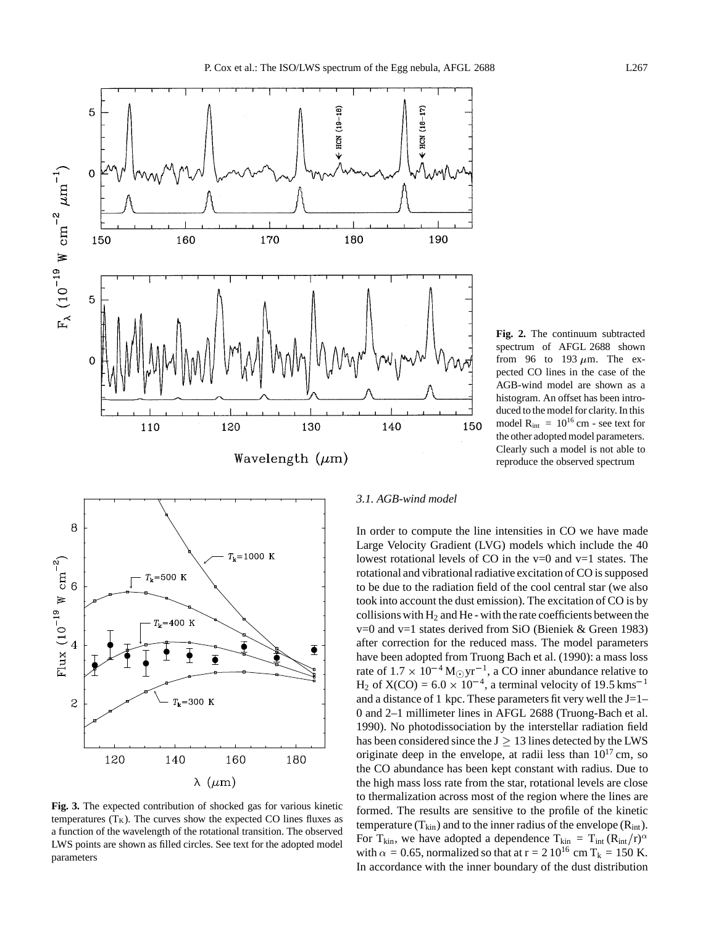

**Fig. 2.** The continuum subtracted spectrum of AFGL 2688 shown from 96 to 193  $\mu$ m. The expected CO lines in the case of the AGB-wind model are shown as a histogram. An offset has been introduced to the model for clarity. In this model  $R_{int} = 10^{16}$  cm - see text for the other adopted model parameters. Clearly such a model is not able to reproduce the observed spectrum



**Fig. 3.** The expected contribution of shocked gas for various kinetic temperatures  $(T_K)$ . The curves show the expected CO lines fluxes as a function of the wavelength of the rotational transition. The observed LWS points are shown as filled circles. See text for the adopted model parameters

# *3.1. AGB-wind model*

In order to compute the line intensities in CO we have made Large Velocity Gradient (LVG) models which include the 40 lowest rotational levels of CO in the  $v=0$  and  $v=1$  states. The rotational and vibrational radiative excitation of CO is supposed to be due to the radiation field of the cool central star (we also took into account the dust emission). The excitation of CO is by collisions with  $H_2$  and He - with the rate coefficients between the v=0 and v=1 states derived from SiO (Bieniek & Green 1983) after correction for the reduced mass. The model parameters have been adopted from Truong Bach et al. (1990): a mass loss rate of  $1.7 \times 10^{-4}$  M<sub>o</sub>yr<sup>-1</sup>, a CO inner abundance relative to  $H_2$  of  $X(CO) = 6.0 \times 10^{-4}$ , a terminal velocity of 19.5 kms<sup>-1</sup> and a distance of 1 kpc. These parameters fit very well the  $J=1-$ 0 and 2–1 millimeter lines in AFGL 2688 (Truong-Bach et al. 1990). No photodissociation by the interstellar radiation field has been considered since the  $J \geq 13$  lines detected by the LWS originate deep in the envelope, at radii less than  $10^{17}$  cm, so the CO abundance has been kept constant with radius. Due to the high mass loss rate from the star, rotational levels are close to thermalization across most of the region where the lines are formed. The results are sensitive to the profile of the kinetic temperature  $(T_{kin})$  and to the inner radius of the envelope  $(R_{int})$ . For T<sub>kin</sub>, we have adopted a dependence T<sub>kin</sub> = T<sub>int</sub> (R<sub>int</sub>/r)<sup> $\alpha$ </sup> with  $\alpha = 0.65$ , normalized so that at  $r = 2 \times 10^{16}$  cm T<sub>k</sub> = 150 K. In accordance with the inner boundary of the dust distribution